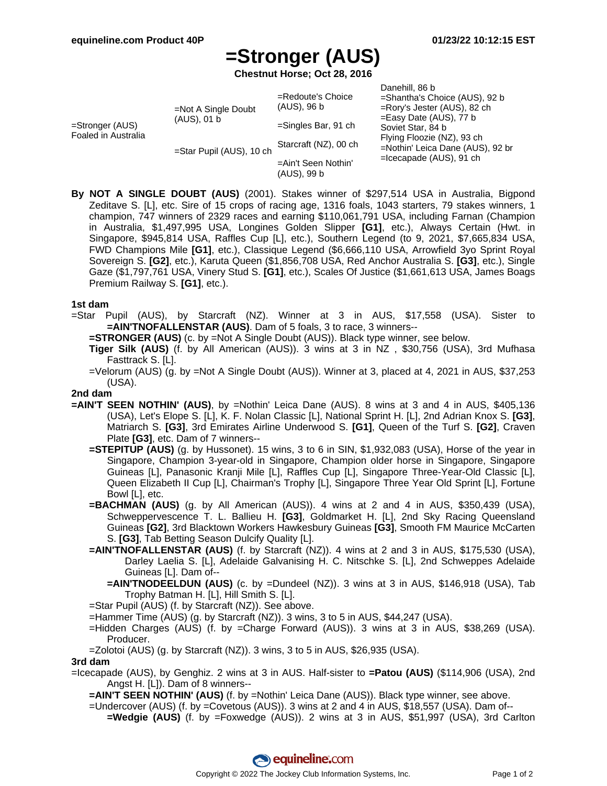# **=Stronger (AUS)**

**Chestnut Horse; Oct 28, 2016**

| =Stronger (AUS)<br>Foaled in Australia | $=$ Not A Single Doubt<br>(AUS), 01 b<br>=Star Pupil (AUS), 10 ch | $=$ Redoute's Choice<br>(AUS), 96 b<br>$=$ Singles Bar, 91 ch<br>Starcraft (NZ), 00 ch<br>=Ain't Seen Nothin' | Danehill, 86 b<br>=Shantha's Choice (AUS), 92 b<br>=Rory's Jester (AUS), 82 ch<br>$=$ Easy Date (AUS), 77 b<br>Soviet Star, 84 b<br>Flying Floozie (NZ), 93 ch<br>=Nothin' Leica Dane (AUS), 92 br<br>$=$ Icecapade (AUS), 91 ch |
|----------------------------------------|-------------------------------------------------------------------|---------------------------------------------------------------------------------------------------------------|----------------------------------------------------------------------------------------------------------------------------------------------------------------------------------------------------------------------------------|
|                                        |                                                                   | (AUS), 99 b                                                                                                   |                                                                                                                                                                                                                                  |

**By NOT A SINGLE DOUBT (AUS)** (2001). Stakes winner of \$297,514 USA in Australia, Bigpond Zeditave S. [L], etc. Sire of 15 crops of racing age, 1316 foals, 1043 starters, 79 stakes winners, 1 champion, 747 winners of 2329 races and earning \$110,061,791 USA, including Farnan (Champion in Australia, \$1,497,995 USA, Longines Golden Slipper **[G1]**, etc.), Always Certain (Hwt. in Singapore, \$945,814 USA, Raffles Cup [L], etc.), Southern Legend (to 9, 2021, \$7,665,834 USA, FWD Champions Mile **[G1]**, etc.), Classique Legend (\$6,666,110 USA, Arrowfield 3yo Sprint Royal Sovereign S. **[G2]**, etc.), Karuta Queen (\$1,856,708 USA, Red Anchor Australia S. **[G3]**, etc.), Single Gaze (\$1,797,761 USA, Vinery Stud S. **[G1]**, etc.), Scales Of Justice (\$1,661,613 USA, James Boags Premium Railway S. **[G1]**, etc.).

### **1st dam**

=Star Pupil (AUS), by Starcraft (NZ). Winner at 3 in AUS, \$17,558 (USA). Sister to **=AIN'TNOFALLENSTAR (AUS)**. Dam of 5 foals, 3 to race, 3 winners--

**=STRONGER (AUS)** (c. by =Not A Single Doubt (AUS)). Black type winner, see below.

**Tiger Silk (AUS)** (f. by All American (AUS)). 3 wins at 3 in NZ , \$30,756 (USA), 3rd Mufhasa Fasttrack S. [L].

=Velorum (AUS) (g. by =Not A Single Doubt (AUS)). Winner at 3, placed at 4, 2021 in AUS, \$37,253 (USA).

#### **2nd dam**

- **=AIN'T SEEN NOTHIN' (AUS)**, by =Nothin' Leica Dane (AUS). 8 wins at 3 and 4 in AUS, \$405,136 (USA), Let's Elope S. [L], K. F. Nolan Classic [L], National Sprint H. [L], 2nd Adrian Knox S. **[G3]**, Matriarch S. **[G3]**, 3rd Emirates Airline Underwood S. **[G1]**, Queen of the Turf S. **[G2]**, Craven Plate **[G3]**, etc. Dam of 7 winners--
	- **=STEPITUP (AUS)** (g. by Hussonet). 15 wins, 3 to 6 in SIN, \$1,932,083 (USA), Horse of the year in Singapore, Champion 3-year-old in Singapore, Champion older horse in Singapore, Singapore Guineas [L], Panasonic Kranji Mile [L], Raffles Cup [L], Singapore Three-Year-Old Classic [L], Queen Elizabeth II Cup [L], Chairman's Trophy [L], Singapore Three Year Old Sprint [L], Fortune Bowl [L], etc.
	- **=BACHMAN (AUS)** (g. by All American (AUS)). 4 wins at 2 and 4 in AUS, \$350,439 (USA), Schweppervescence T. L. Ballieu H. **[G3]**, Goldmarket H. [L], 2nd Sky Racing Queensland Guineas **[G2]**, 3rd Blacktown Workers Hawkesbury Guineas **[G3]**, Smooth FM Maurice McCarten S. **[G3]**, Tab Betting Season Dulcify Quality [L].
	- **=AIN'TNOFALLENSTAR (AUS)** (f. by Starcraft (NZ)). 4 wins at 2 and 3 in AUS, \$175,530 (USA), Darley Laelia S. [L], Adelaide Galvanising H. C. Nitschke S. [L], 2nd Schweppes Adelaide Guineas [L]. Dam of--
		- **=AIN'TNODEELDUN (AUS)** (c. by =Dundeel (NZ)). 3 wins at 3 in AUS, \$146,918 (USA), Tab Trophy Batman H. [L], Hill Smith S. [L].

=Star Pupil (AUS) (f. by Starcraft (NZ)). See above.

- =Hammer Time (AUS) (g. by Starcraft (NZ)). 3 wins, 3 to 5 in AUS, \$44,247 (USA).
- =Hidden Charges (AUS) (f. by =Charge Forward (AUS)). 3 wins at 3 in AUS, \$38,269 (USA). Producer.
- =Zolotoi (AUS) (g. by Starcraft (NZ)). 3 wins, 3 to 5 in AUS, \$26,935 (USA).

#### **3rd dam**

=Icecapade (AUS), by Genghiz. 2 wins at 3 in AUS. Half-sister to **=Patou (AUS)** (\$114,906 (USA), 2nd Angst H. [L]). Dam of 8 winners--

**=AIN'T SEEN NOTHIN' (AUS)** (f. by =Nothin' Leica Dane (AUS)). Black type winner, see above.

- =Undercover (AUS) (f. by =Covetous (AUS)). 3 wins at 2 and 4 in AUS, \$18,557 (USA). Dam of--
	- **=Wedgie (AUS)** (f. by =Foxwedge (AUS)). 2 wins at 3 in AUS, \$51,997 (USA), 3rd Carlton